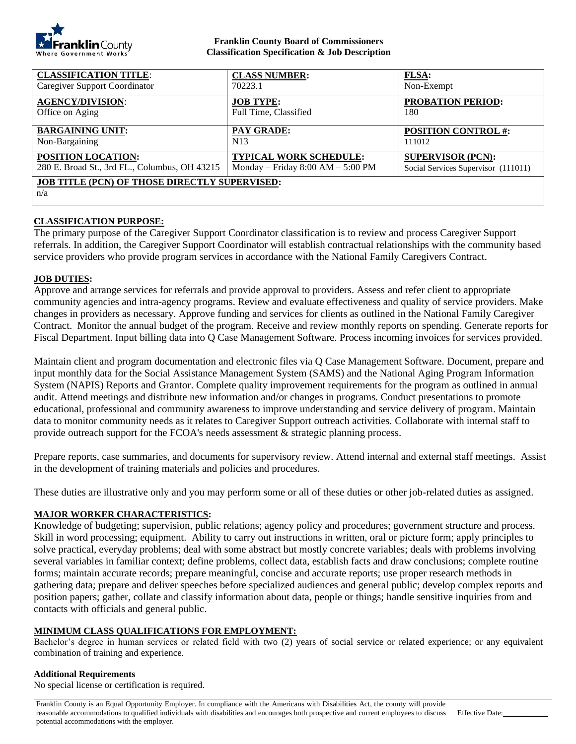

#### **Franklin County Board of Commissioners Classification Specification & Job Description**

| <b>CLASSIFICATION TITLE:</b>                                | <b>CLASS NUMBER:</b>                | <b>FLSA:</b>                        |
|-------------------------------------------------------------|-------------------------------------|-------------------------------------|
| <b>Caregiver Support Coordinator</b>                        | 70223.1                             | Non-Exempt                          |
| <b>AGENCY/DIVISION:</b>                                     | <b>JOB TYPE:</b>                    | <b>PROBATION PERIOD:</b>            |
| Office on Aging                                             | Full Time, Classified               | 180                                 |
| <b>BARGAINING UNIT:</b>                                     | <b>PAY GRADE:</b>                   | <b>POSITION CONTROL #:</b>          |
| Non-Bargaining                                              | N <sub>13</sub>                     | 111012                              |
| <b>POSITION LOCATION:</b>                                   | <b>TYPICAL WORK SCHEDULE:</b>       | <b>SUPERVISOR (PCN):</b>            |
| 280 E. Broad St., 3rd FL., Columbus, OH 43215               | Monday – Friday $8:00 AM - 5:00 PM$ | Social Services Supervisor (111011) |
| <b>JOB TITLE (PCN) OF THOSE DIRECTLY SUPERVISED:</b><br>n/a |                                     |                                     |

## **CLASSIFICATION PURPOSE:**

The primary purpose of the Caregiver Support Coordinator classification is to review and process Caregiver Support referrals. In addition, the Caregiver Support Coordinator will establish contractual relationships with the community based service providers who provide program services in accordance with the National Family Caregivers Contract.

#### **JOB DUTIES:**

Approve and arrange services for referrals and provide approval to providers. Assess and refer client to appropriate community agencies and intra-agency programs. Review and evaluate effectiveness and quality of service providers. Make changes in providers as necessary. Approve funding and services for clients as outlined in the National Family Caregiver Contract. Monitor the annual budget of the program. Receive and review monthly reports on spending. Generate reports for Fiscal Department. Input billing data into Q Case Management Software. Process incoming invoices for services provided.

Maintain client and program documentation and electronic files via Q Case Management Software. Document, prepare and input monthly data for the Social Assistance Management System (SAMS) and the National Aging Program Information System (NAPIS) Reports and Grantor. Complete quality improvement requirements for the program as outlined in annual audit. Attend meetings and distribute new information and/or changes in programs. Conduct presentations to promote educational, professional and community awareness to improve understanding and service delivery of program. Maintain data to monitor community needs as it relates to Caregiver Support outreach activities. Collaborate with internal staff to provide outreach support for the FCOA's needs assessment & strategic planning process.

Prepare reports, case summaries, and documents for supervisory review. Attend internal and external staff meetings. Assist in the development of training materials and policies and procedures.

These duties are illustrative only and you may perform some or all of these duties or other job-related duties as assigned.

## **MAJOR WORKER CHARACTERISTICS:**

Knowledge of budgeting; supervision, public relations; agency policy and procedures; government structure and process. Skill in word processing; equipment. Ability to carry out instructions in written, oral or picture form; apply principles to solve practical, everyday problems; deal with some abstract but mostly concrete variables; deals with problems involving several variables in familiar context; define problems, collect data, establish facts and draw conclusions; complete routine forms; maintain accurate records; prepare meaningful, concise and accurate reports; use proper research methods in gathering data; prepare and deliver speeches before specialized audiences and general public; develop complex reports and position papers; gather, collate and classify information about data, people or things; handle sensitive inquiries from and contacts with officials and general public.

#### **MINIMUM CLASS QUALIFICATIONS FOR EMPLOYMENT:**

Bachelor's degree in human services or related field with two (2) years of social service or related experience; or any equivalent combination of training and experience.

#### **Additional Requirements**

No special license or certification is required.

Franklin County is an Equal Opportunity Employer. In compliance with the Americans with Disabilities Act, the county will provide reasonable accommodations to qualified individuals with disabilities and encourages both prospective and current employees to discuss potential accommodations with the employer.